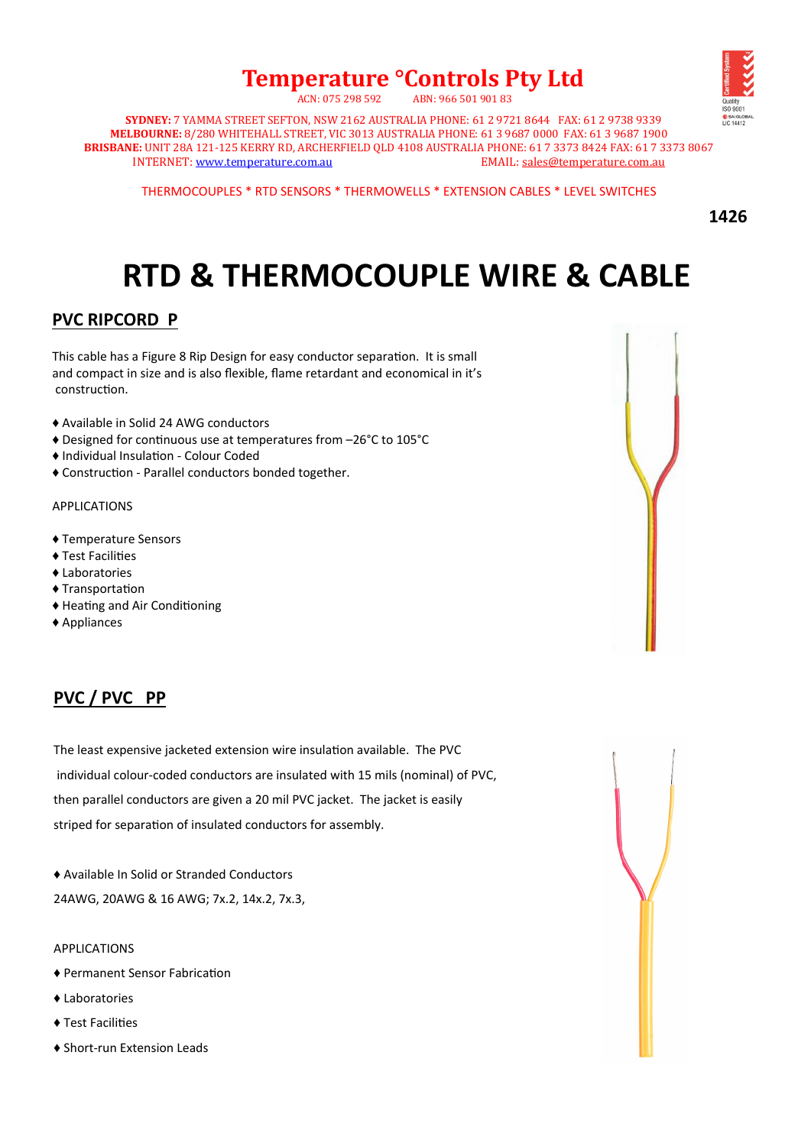## **Temperature °Controls Pty Ltd**  ACN: 075 298 592 ABN: 966 501 901 83



**SYDNEY:** 7 YAMMA STREET SEFTON, NSW 2162 AUSTRALIA PHONE: 61 2 9721 8644 FAX: 61 2 9738 9339 **MELBOURNE:** 8/280 WHITEHALL STREET, VIC 3013 AUSTRALIA PHONE: 61 3 9687 0000 FAX: 61 3 9687 1900 **BRISBANE:** UNIT 28A 121-125 KERRY RD, ARCHERFIELD QLD 4108 AUSTRALIA PHONE: 61 7 3373 8424 FAX: 61 7 3373 8067 INTERNET: [www.temperature.com.au](http://www.temperature.com.au/) EMAIL: [sales@temperature.com.au](mailto:sales@temperature.com.au) EMAIL: sales@temperature.com.au

THERMOCOUPLES \* RTD SENSORS \* THERMOWELLS \* EXTENSION CABLES \* LEVEL SWITCHES

**1426**

## **RTD & THERMOCOUPLE WIRE & CABLE**

## **PVC RIPCORD P**

This cable has a Figure 8 Rip Design for easy conductor separation. It is small and compact in size and is also flexible, flame retardant and economical in it's construction.

- ♦ Available in Solid 24 AWG conductors
- ♦ Designed for continuous use at temperatures from –26°C to 105°C
- ♦ Individual Insulation Colour Coded
- ♦ Construction Parallel conductors bonded together.

#### APPLICATIONS

- ♦ Temperature Sensors
- ♦ Test Facilities
- ♦ Laboratories
- ♦ Transportation
- ♦ Heating and Air Conditioning
- ♦ Appliances

#### **PVC / PVC PP**

The least expensive jacketed extension wire insulation available. The PVC individual colour-coded conductors are insulated with 15 mils (nominal) of PVC, then parallel conductors are given a 20 mil PVC jacket. The jacket is easily striped for separation of insulated conductors for assembly.

♦ Available In Solid or Stranded Conductors

24AWG, 20AWG & 16 AWG; 7x.2, 14x.2, 7x.3,

#### APPLICATIONS

- ♦ Permanent Sensor Fabrication
- ♦ Laboratories
- ♦ Test Facilities
- ♦ Short-run Extension Leads

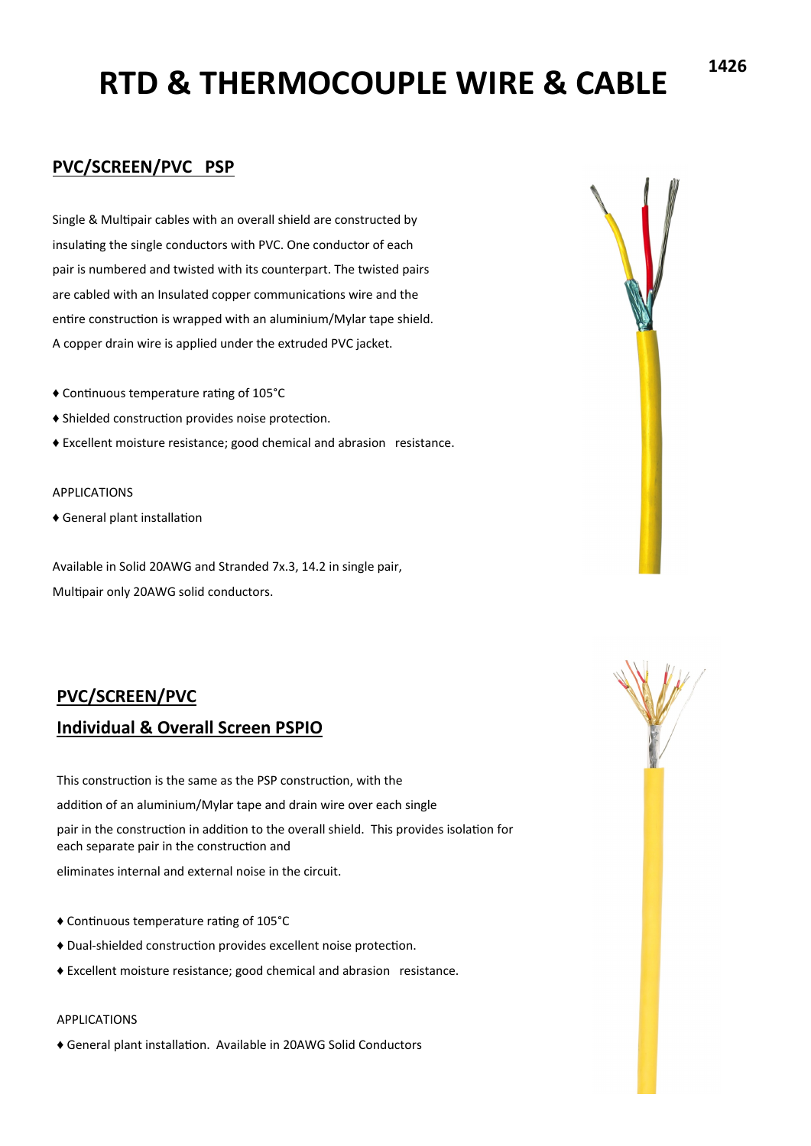## **PVC/SCREEN/PVC PSP**

Single & Multipair cables with an overall shield are constructed by insulating the single conductors with PVC. One conductor of each pair is numbered and twisted with its counterpart. The twisted pairs are cabled with an Insulated copper communications wire and the entire construction is wrapped with an aluminium/Mylar tape shield. A copper drain wire is applied under the extruded PVC jacket.

- ♦ Continuous temperature rating of 105°C
- ♦ Shielded construction provides noise protection.
- ♦ Excellent moisture resistance; good chemical and abrasion resistance.

#### APPLICATIONS

♦ General plant installation

Available in Solid 20AWG and Stranded 7x.3, 14.2 in single pair, Multipair only 20AWG solid conductors.

#### **PVC/SCREEN/PVC**

#### **Individual & Overall Screen PSPIO**

This construction is the same as the PSP construction, with the addition of an aluminium/Mylar tape and drain wire over each single pair in the construction in addition to the overall shield. This provides isolation for each separate pair in the construction and eliminates internal and external noise in the circuit.

- ♦ Continuous temperature rating of 105°C
- ♦ Dual-shielded construction provides excellent noise protection.
- ♦ Excellent moisture resistance; good chemical and abrasion resistance.

#### APPLICATIONS

♦ General plant installation. Available in 20AWG Solid Conductors



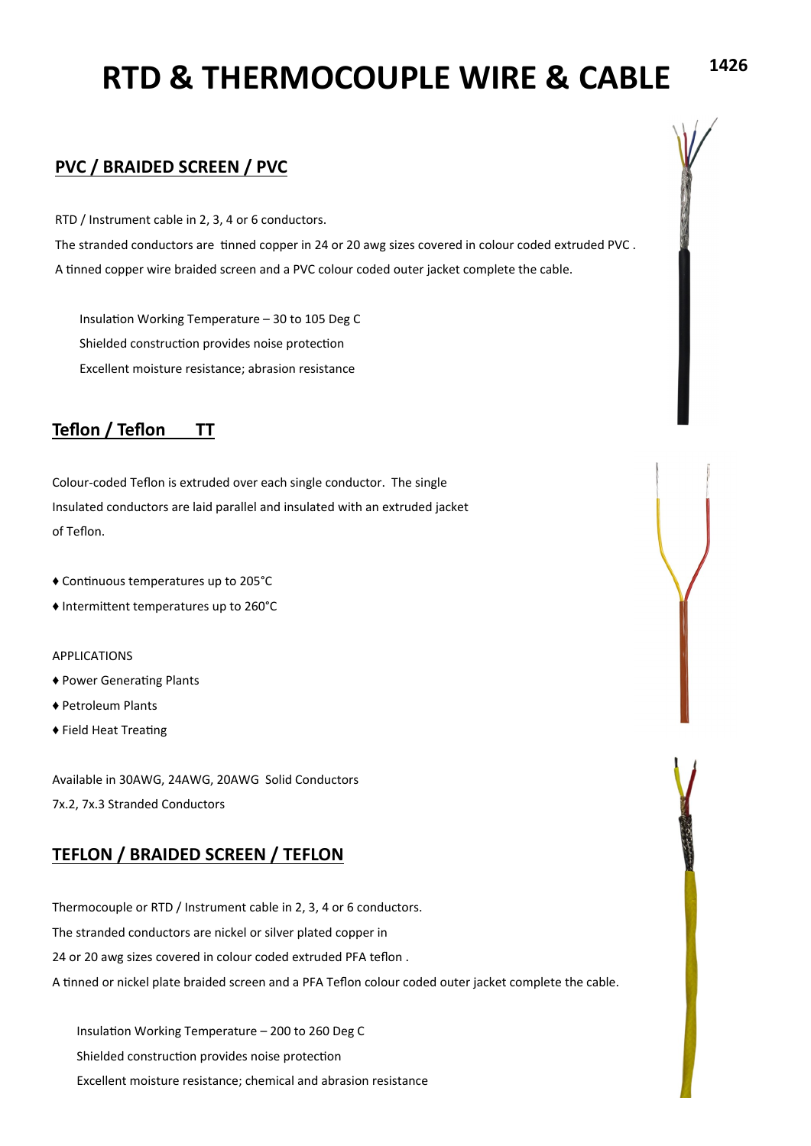#### **PVC / BRAIDED SCREEN / PVC**

RTD / Instrument cable in 2, 3, 4 or 6 conductors.

The stranded conductors are tinned copper in 24 or 20 awg sizes covered in colour coded extruded PVC . A tinned copper wire braided screen and a PVC colour coded outer jacket complete the cable.

Insulation Working Temperature – 30 to 105 Deg C Shielded construction provides noise protection Excellent moisture resistance; abrasion resistance

## **Teflon / Teflon TT**

Colour-coded Teflon is extruded over each single conductor. The single Insulated conductors are laid parallel and insulated with an extruded jacket of Teflon.

- ♦ Continuous temperatures up to 205°C
- ♦ Intermittent temperatures up to 260°C

#### APPLICATIONS

- ♦ Power Generating Plants
- ♦ Petroleum Plants
- ♦ Field Heat Treating

Available in 30AWG, 24AWG, 20AWG Solid Conductors 7x.2, 7x.3 Stranded Conductors

### **TEFLON / BRAIDED SCREEN / TEFLON**

Thermocouple or RTD / Instrument cable in 2, 3, 4 or 6 conductors. The stranded conductors are nickel or silver plated copper in 24 or 20 awg sizes covered in colour coded extruded PFA teflon . A tinned or nickel plate braided screen and a PFA Teflon colour coded outer jacket complete the cable.

Insulation Working Temperature – 200 to 260 Deg C Shielded construction provides noise protection Excellent moisture resistance; chemical and abrasion resistance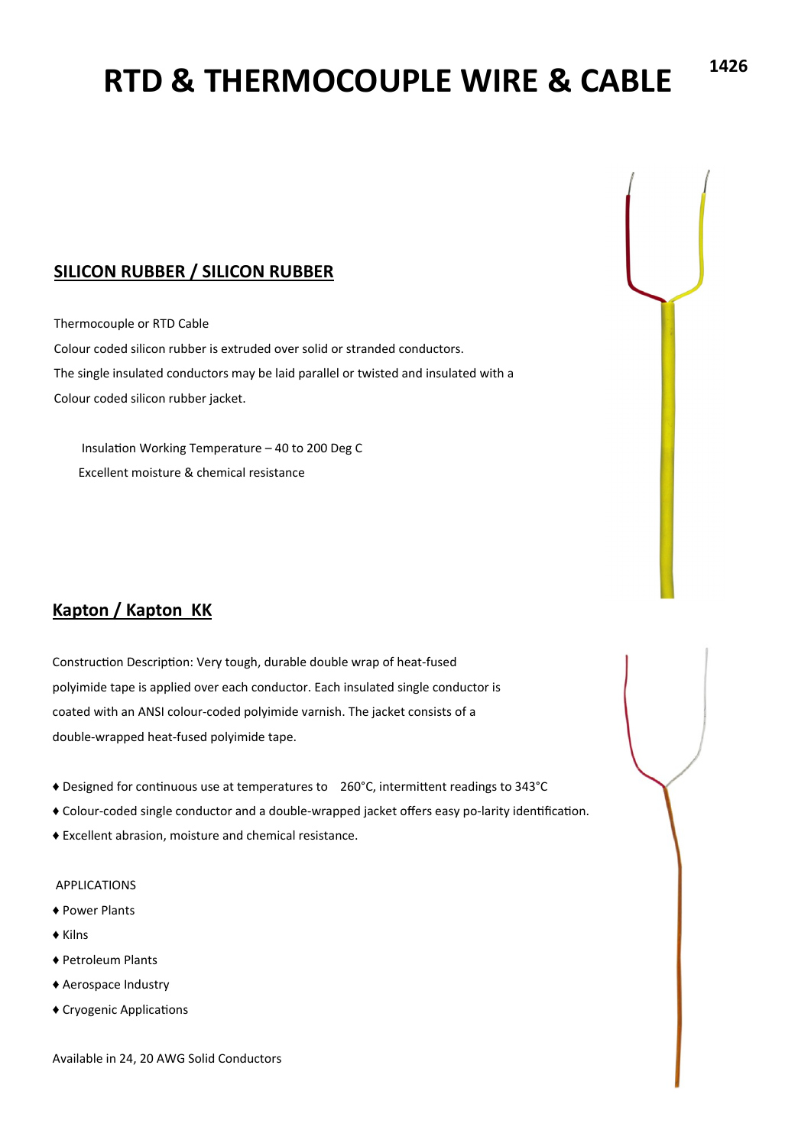## **SILICON RUBBER / SILICON RUBBER**

Thermocouple or RTD Cable

Colour coded silicon rubber is extruded over solid or stranded conductors. The single insulated conductors may be laid parallel or twisted and insulated with a Colour coded silicon rubber jacket.

Insulation Working Temperature – 40 to 200 Deg C Excellent moisture & chemical resistance

## **Kapton / Kapton KK**

Construction Description: Very tough, durable double wrap of heat-fused polyimide tape is applied over each conductor. Each insulated single conductor is coated with an ANSI colour-coded polyimide varnish. The jacket consists of a double-wrapped heat-fused polyimide tape.

- ♦ Designed for continuous use at temperatures to 260°C, intermittent readings to 343°C
- ♦ Colour-coded single conductor and a double-wrapped jacket offers easy po-larity identification.
- ♦ Excellent abrasion, moisture and chemical resistance.

#### APPLICATIONS

- ♦ Power Plants
- ♦ Kilns
- ♦ Petroleum Plants
- ♦ Aerospace Industry
- ♦ Cryogenic Applications

Available in 24, 20 AWG Solid Conductors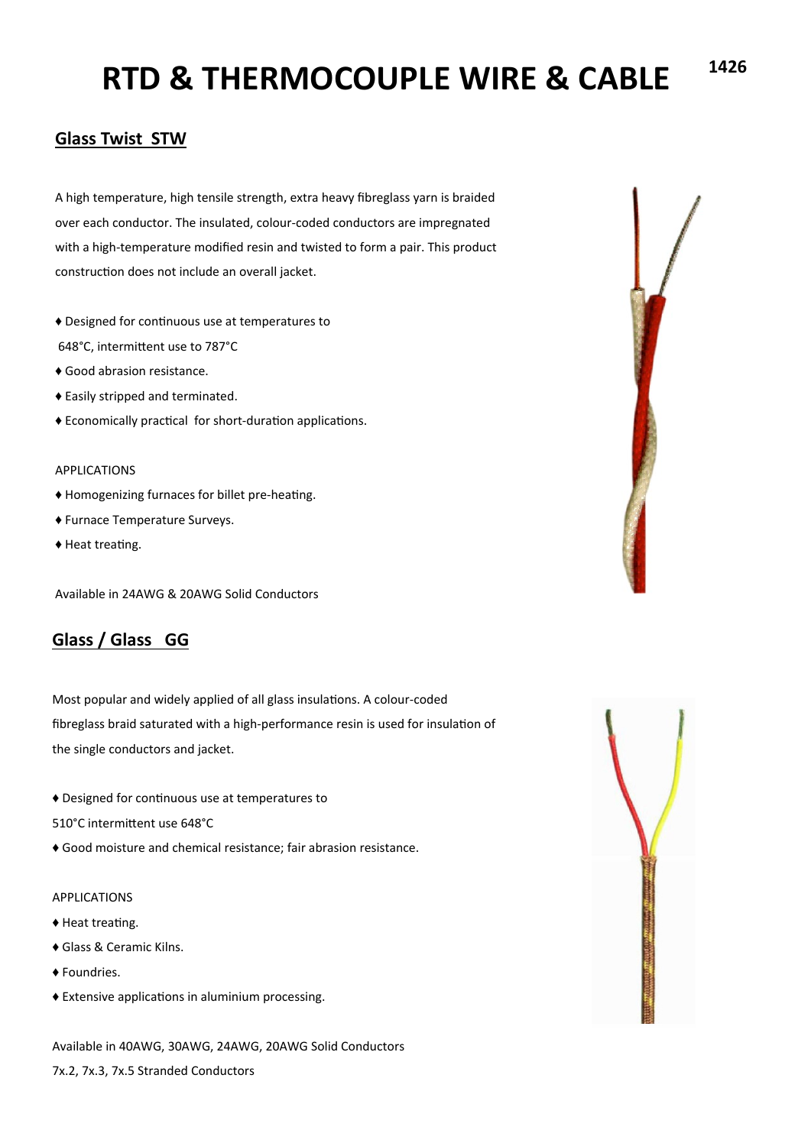### **Glass Twist STW**

A high temperature, high tensile strength, extra heavy fibreglass yarn is braided over each conductor. The insulated, colour-coded conductors are impregnated with a high-temperature modified resin and twisted to form a pair. This product construction does not include an overall jacket.

- ♦ Designed for continuous use at temperatures to 648°C, intermittent use to 787°C
- ♦ Good abrasion resistance.
- ♦ Easily stripped and terminated.
- ♦ Economically practical for short-duration applications.

#### APPLICATIONS

- ♦ Homogenizing furnaces for billet pre-heating.
- ♦ Furnace Temperature Surveys.
- ♦ Heat treating.

Available in 24AWG & 20AWG Solid Conductors

### **Glass / Glass GG**

Most popular and widely applied of all glass insulations. A colour-coded fibreglass braid saturated with a high-performance resin is used for insulation of the single conductors and jacket.

- ♦ Designed for continuous use at temperatures to
- 510°C intermittent use 648°C
- ♦ Good moisture and chemical resistance; fair abrasion resistance.

#### APPLICATIONS

- ♦ Heat treating.
- ♦ Glass & Ceramic Kilns.
- ♦ Foundries.
- ♦ Extensive applications in aluminium processing.

Available in 40AWG, 30AWG, 24AWG, 20AWG Solid Conductors 7x.2, 7x.3, 7x.5 Stranded Conductors



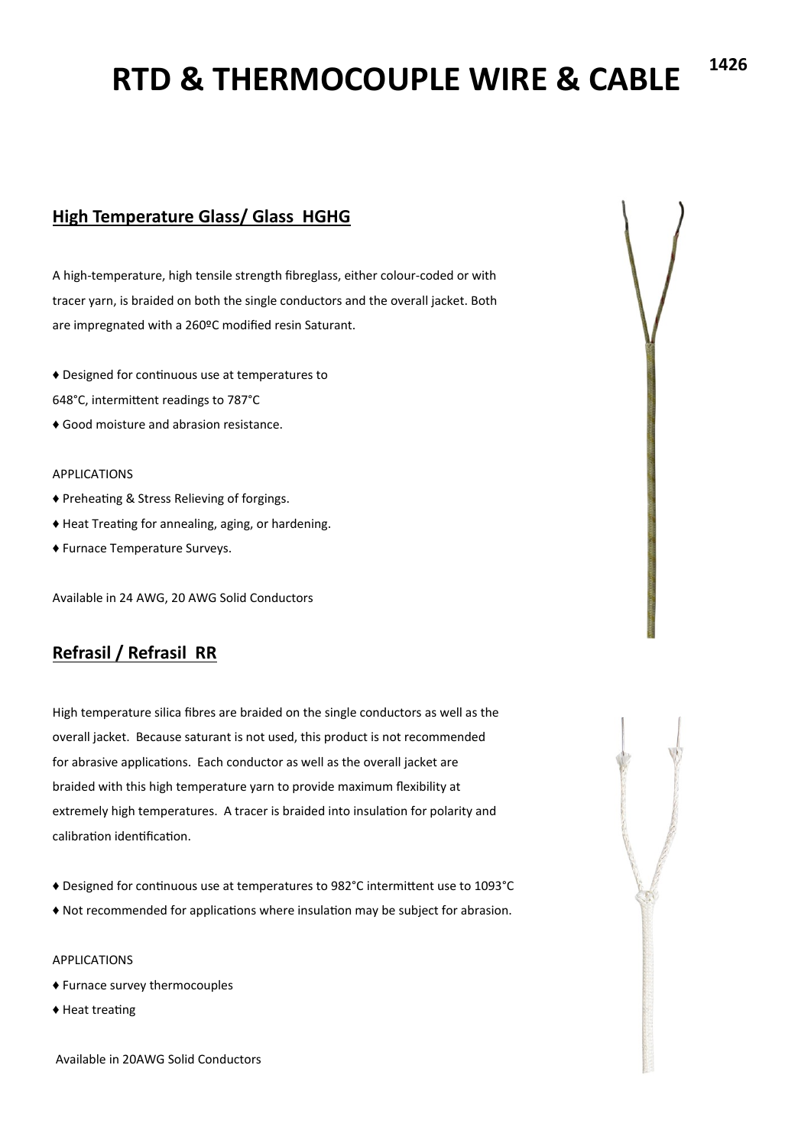## **High Temperature Glass/ Glass HGHG**

A high-temperature, high tensile strength fibreglass, either colour-coded or with tracer yarn, is braided on both the single conductors and the overall jacket. Both are impregnated with a 260ºC modified resin Saturant.

- ♦ Designed for continuous use at temperatures to
- 648°C, intermittent readings to 787°C
- ♦ Good moisture and abrasion resistance.

#### APPLICATIONS

- ♦ Preheating & Stress Relieving of forgings.
- ♦ Heat Treating for annealing, aging, or hardening.
- ♦ Furnace Temperature Surveys.

Available in 24 AWG, 20 AWG Solid Conductors

### **Refrasil / Refrasil RR**

High temperature silica fibres are braided on the single conductors as well as the overall jacket. Because saturant is not used, this product is not recommended for abrasive applications. Each conductor as well as the overall jacket are braided with this high temperature yarn to provide maximum flexibility at extremely high temperatures. A tracer is braided into insulation for polarity and calibration identification.

- ♦ Designed for continuous use at temperatures to 982°C intermittent use to 1093°C
- ♦ Not recommended for applications where insulation may be subject for abrasion.

#### APPLICATIONS

- ♦ Furnace survey thermocouples
- ♦ Heat treating

Available in 20AWG Solid Conductors